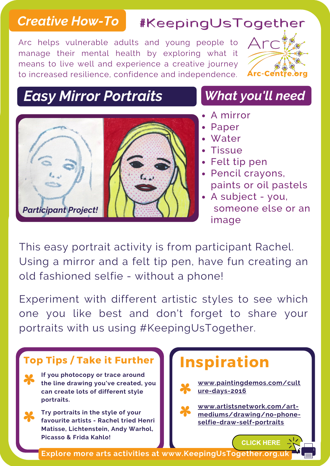## *Creative How-To* #KeepingUsTogether #KeepingUsTogether

Arc helps vulnerable adults and young people to manage their mental health by exploring what it means to live well and experience a creative journey to increased resilience, confidence and independence.



### *Easy Mirror Portraits*



#### *What you'll need*

- A mirror
- Paper
- Water
- Tissue
- Felt tip pen
- Pencil crayons, paints or oil pastels
- A subject you, someone else or an image

This easy portrait activity is from participant Rachel. Using a mirror and a felt tip pen, have fun creating an old fashioned selfie - without a phone!

Experiment with different artistic styles to see which one you like best and don't forget to share your portraits with us using #KeepingUsTogether.